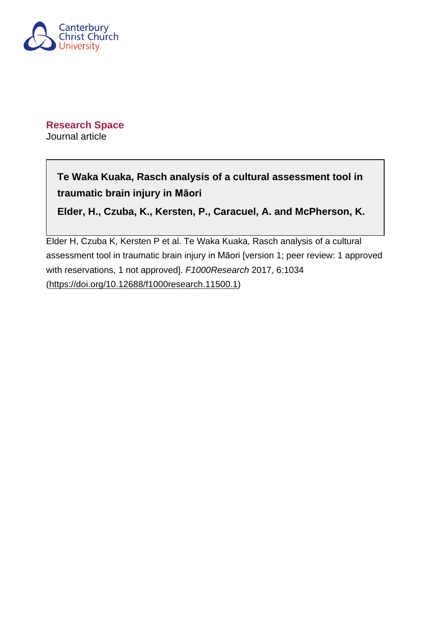

**Research Space** Journal article

> **Te Waka Kuaka, Rasch analysis of a cultural assessment tool in traumatic brain injury in Māori**

> **Elder, H., Czuba, K., Kersten, P., Caracuel, A. and McPherson, K.**

Elder H, Czuba K, Kersten P et al. Te Waka Kuaka, Rasch analysis of a cultural assessment tool in traumatic brain injury in Māori [version 1; peer review: 1 approved with reservations, 1 not approved]. F1000Research 2017, 6:1034 ([https://doi.org/10.12688/f1000research.11500.1\)](https://doi.org/10.12688/f1000research.11500.1)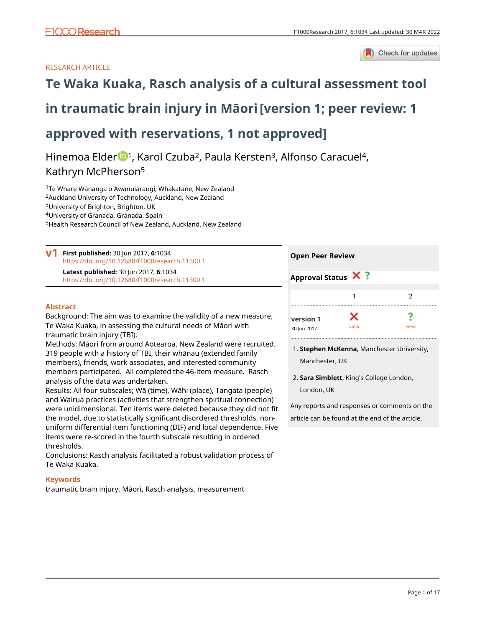Check for updates

# RESEARCH ARTICLE



# **[in traumatic brain injury in Māori](https://f1000research.com/articles/6-1034/v1)[version 1; peer review: 1**

# **approved with reservations, 1 not approved]**

Hinemoa Elder <sup>1</sup>, Karol Czuba<sup>2</sup>, Paula Kersten<sup>3</sup>, Alfonso Caracuel<sup>4</sup>, Kathryn McPherson<sup>5</sup>

Te Whare Wānanga o Awanuiārangi, Whakatane, New Zealand Auckland University of Technology, Auckland, New Zealand University of Brighton, Brighton, UK University of Granada, Granada, Spain Health Research Council of New Zealand, Auckland, New Zealand

**First published:** 30 Jun 2017, **6**:1034 **v1** <https://doi.org/10.12688/f1000research.11500.1> **Latest published:** 30 Jun 2017, **6**:1034 <https://doi.org/10.12688/f1000research.11500.1>

## **Abstract**

Background: The aim was to examine the validity of a new measure, Te Waka Kuaka, in assessing the cultural needs of Māori with traumatic brain injury (TBI).

Methods: Māori from around Aotearoa, New Zealand were recruited. 319 people with a history of TBI, their whānau (extended family members), friends, work associates, and interested community members participated. All completed the 46-item measure. Rasch analysis of the data was undertaken.

Results: All four subscales; Wā (time), Wāhi (place), Tangata (people) and Wairua practices (activities that strengthen spiritual connection) were unidimensional. Ten items were deleted because they did not fit the model, due to statistically significant disordered thresholds, nonuniform differential item functioning (DIF) and local dependence. Five items were re-scored in the fourth subscale resulting in ordered thresholds.

Conclusions: Rasch analysis facilitated a robust validation process of Te Waka Kuaka.

## **Keywords**

traumatic brain injury, Māori, Rasch analysis, measurement

| <b>Open Peer Review</b> |      |      |
|-------------------------|------|------|
| Approval Status X ?     |      |      |
|                         |      | 2    |
| version 1               | x    |      |
| 30 Jun 2017             | view | view |

- **Stephen McKenna**, Manchester University, 1. Manchester, UK
- **Sara Simblett**, King's College London, 2. London, UK

Any reports and responses or comments on the article can be found at the end of the article.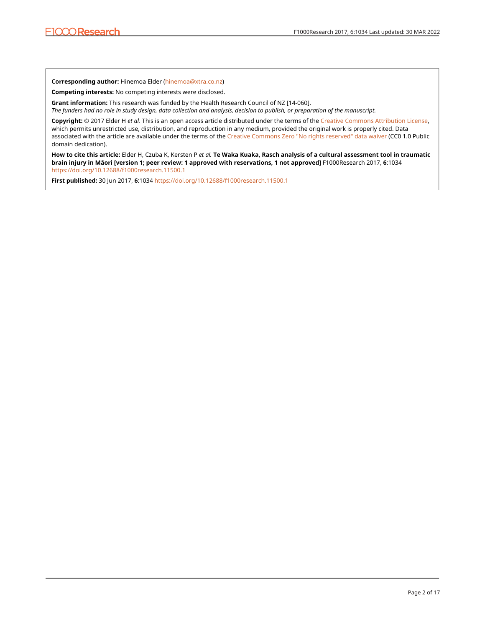**Corresponding author:** Hinemoa Elder ([hinemoa@xtra.co.nz\)](mailto:hinemoa@xtra.co.nz)

**Competing interests:** No competing interests were disclosed.

**Grant information:** This research was funded by the Health Research Council of NZ [14-060]. *The funders had no role in study design, data collection and analysis, decision to publish, or preparation of the manuscript.*

**Copyright:** © 2017 Elder H *et al*. This is an open access article distributed under the terms of the [Creative Commons Attribution License](http://creativecommons.org/licenses/by/4.0/), which permits unrestricted use, distribution, and reproduction in any medium, provided the original work is properly cited. Data associated with the article are available under the terms of the [Creative Commons Zero "No rights reserved" data waiver](http://creativecommons.org/publicdomain/zero/1.0/) (CC0 1.0 Public domain dedication).

**How to cite this article:** Elder H, Czuba K, Kersten P *et al.* **Te Waka Kuaka, Rasch analysis of a cultural assessment tool in traumatic brain injury in Māori [version 1; peer review: 1 approved with reservations, 1 not approved]** F1000Research 2017, **6**:1034 <https://doi.org/10.12688/f1000research.11500.1>

**First published:** 30 Jun 2017, **6**:1034<https://doi.org/10.12688/f1000research.11500.1>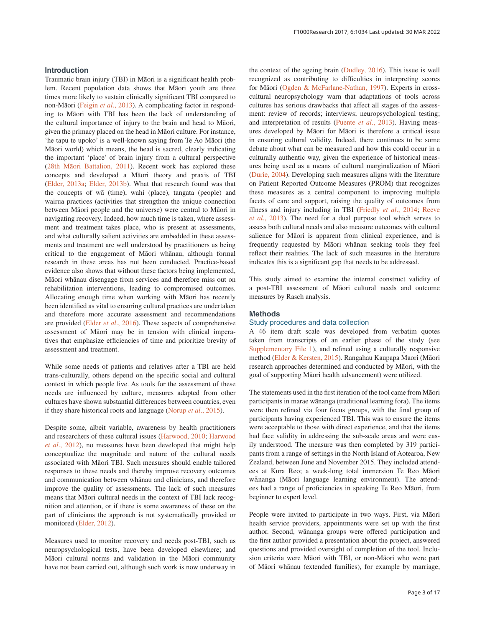### **Introduction**

Traumatic brain injury (TBI) in Māori is a significant health problem. Recent population data shows that Māori youth are three times more likely to sustain clinically significant TBI compared to non-Māori ([Feigin](#page-12-0) *et al*., 2013). A complicating factor in responding to Māori with TBI has been the lack of understanding of the cultural importance of injury to the brain and head to Māori, given the primacy placed on the head in Māori culture. For instance, 'he tapu te upoko' is a well-known saying from Te Ao Māori (the Māori world) which means, the head is sacred, clearly indicating the important 'place' of brain injury from a cultural perspective (28th Mā[ori Battalion, 2011\)](#page-11-0). Recent work has explored these concepts and developed a Māori theory and praxis of TBI ([Elder, 2013a; Elder, 2013b](#page-12-0)). What that research found was that the concepts of wā (time), wahi (place), tangata (people) and wairua practices (activities that strengthen the unique connection between Māori people and the universe) were central to Māori in navigating recovery. Indeed, how much time is taken, where assessment and treatment takes place, who is present at assessments, and what culturally salient activities are embedded in these assessments and treatment are well understood by practitioners as being critical to the engagement of Māori whānau, although formal research in these areas has not been conducted. Practice-based evidence also shows that without these factors being implemented, Māori whānau disengage from services and therefore miss out on rehabilitation interventions, leading to compromised outcomes. Allocating enough time when working with Māori has recently been identified as vital to ensuring cultural practices are undertaken and therefore more accurate assessment and recommendations are provided (Elder *et al*[., 2016](#page-12-0)). These aspects of comprehensive assessment of Māori may be in tension with clinical imperatives that emphasize efficiencies of time and prioritize brevity of assessment and treatment.

While some needs of patients and relatives after a TBI are held trans-culturally, others depend on the specific social and cultural context in which people live. As tools for the assessment of these needs are influenced by culture, measures adapted from other cultures have shown substantial differences between countries, even if they share historical roots and language [\(Norup](#page-12-0) *et al*., 2015).

Despite some, albeit variable, awareness by health practitioners and researchers of these cultural issues [\(Harwood, 2010](#page-12-0); [Harwood](#page-12-0)  *et al*[., 2012](#page-12-0)), no measures have been developed that might help conceptualize the magnitude and nature of the cultural needs associated with Māori TBI. Such measures should enable tailored responses to these needs and thereby improve recovery outcomes and communication between whānau and clinicians, and therefore improve the quality of assessments. The lack of such measures means that Māori cultural needs in the context of TBI lack recognition and attention, or if there is some awareness of these on the part of clinicians the approach is not systematically provided or monitored ([Elder, 2012\)](#page-12-0).

Measures used to monitor recovery and needs post-TBI, such as neuropsychological tests, have been developed elsewhere; and Māori cultural norms and validation in the Māori community have not been carried out, although such work is now underway in the context of the ageing brain ([Dudley, 2016](#page-12-0)). This issue is well recognized as contributing to difficulties in interpreting scores for Māori [\(Ogden & McFarlane-Nathan, 1997\)](#page-12-0). Experts in crosscultural neuropsychology warn that adaptations of tools across cultures has serious drawbacks that affect all stages of the assessment: review of records; interviews; neuropsychological testing; and interpretation of results [\(Puente](#page-12-0) *et al*., 2013). Having measures developed by Māori for Māori is therefore a critical issue in ensuring cultural validity. Indeed, there continues to be some debate about what can be measured and how this could occur in a culturally authentic way, given the experience of historical measures being used as a means of cultural marginalization of Māori ([Durie, 2004\)](#page-12-0). Developing such measures aligns with the literature on Patient Reported Outcome Measures (PROM) that recognizes these measures as a central component to improving multiple facets of care and support, raising the quality of outcomes from illness and injury including in TBI ([Friedly](#page-12-0) *et al*., 2014; [Reeve](#page-12-0)  *et al*[., 2013](#page-12-0)). The need for a dual purpose tool which serves to assess both cultural needs and also measure outcomes with cultural salience for Māori is apparent from clinical experience, and is frequently requested by Māori whānau seeking tools they feel reflect their realities. The lack of such measures in the literature indicates this is a significant gap that needs to be addressed.

This study aimed to examine the internal construct validity of a post-TBI assessment of Māori cultural needs and outcome measures by Rasch analysis.

#### **Methods**

#### Study procedures and data collection

A 46 item draft scale was developed from verbatim quotes taken from transcripts of an earlier phase of the study (see [Supplementary File 1\)](#page-11-0), and refined using a culturally responsive method ([Elder & Kersten, 2015](#page-12-0)). Rangahau Kaupapa Maori (Māori research approaches determined and conducted by Māori, with the goal of supporting Māori health advancement) were utilized.

The statements used in the first iteration of the tool came from Māori participants in marae wānanga (traditional learning fora). The items were then refined via four focus groups, with the final group of participants having experienced TBI. This was to ensure the items were acceptable to those with direct experience, and that the items had face validity in addressing the sub-scale areas and were easily understood. The measure was then completed by 319 participants from a range of settings in the North Island of Aotearoa, New Zealand, between June and November 2015. They included attendees at Kura Reo; a week-long total immersion Te Reo Māori wānanga (Māori language learning environment). The attendees had a range of proficiencies in speaking Te Reo Māori, from beginner to expert level.

People were invited to participate in two ways. First, via Māori health service providers, appointments were set up with the first author. Second, wānanga groups were offered participation and the first author provided a presentation about the project, answered questions and provided oversight of completion of the tool. Inclusion criteria were Māori with TBI, or non-Māori who were part of Māori whānau (extended families), for example by marriage,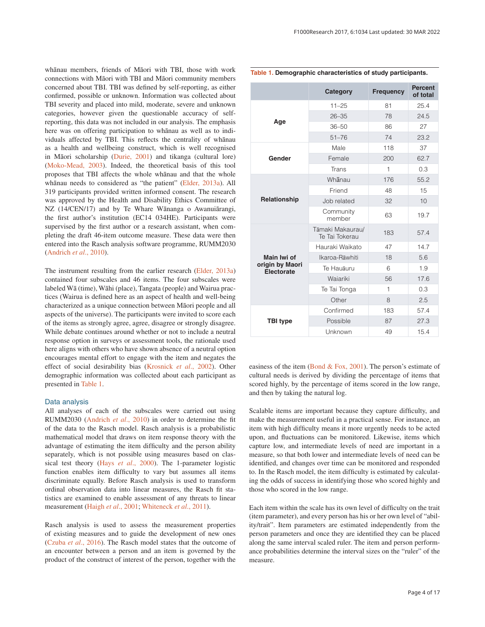<span id="page-4-0"></span>whānau members, friends of Māori with TBI, those with work connections with Māori with TBI and Māori community members concerned about TBI. TBI was defined by self-reporting, as either confirmed, possible or unknown. Information was collected about TBI severity and placed into mild, moderate, severe and unknown categories, however given the questionable accuracy of selfreporting, this data was not included in our analysis. The emphasis here was on offering participation to whānau as well as to individuals affected by TBI. This reflects the centrality of whānau as a health and wellbeing construct, which is well recognised in Māori scholarship ([Durie, 2001](#page-12-0)) and tikanga (cultural lore) ([Moko-Mead, 2003\)](#page-12-0). Indeed, the theoretical basis of this tool proposes that TBI affects the whole whānau and that the whole whānau needs to considered as "the patient" ([Elder, 2013a\)](#page-12-0). All 319 participants provided written informed consent. The research was approved by the Health and Disability Ethics Committee of NZ (14/CEN/17) and by Te Whare Wānanga o Awanuiārangi, the first author's institution (EC14 034HE). Participants were supervised by the first author or a research assistant, when completing the draft 46-item outcome measure. These data were then entered into the Rasch analysis software programme, RUMM2030 ([Andrich](#page-11-0) *et al*., 2010).

The instrument resulting from the earlier research [\(Elder, 2013a\)](#page-12-0) contained four subscales and 46 items. The four subscales were labeled Wā (time), Wāhi (place), Tangata (people) and Wairua practices (Wairua is defined here as an aspect of health and well-being characterized as a unique connection between Māori people and all aspects of the universe). The participants were invited to score each of the items as strongly agree, agree, disagree or strongly disagree. While debate continues around whether or not to include a neutral response option in surveys or assessment tools, the rationale used here aligns with others who have shown absence of a neutral option encourages mental effort to engage with the item and negates the effect of social desirability bias [\(Krosnick](#page-12-0) *et al*., 2002). Other demographic information was collected about each participant as presented in Table 1.

#### Data analysis

All analyses of each of the subscales were carried out using RUMM2030 [\(Andrich](#page-11-0) *et al*., 2010) in order to determine the fit of the data to the Rasch model. Rasch analysis is a probabilistic mathematical model that draws on item response theory with the advantage of estimating the item difficulty and the person ability separately, which is not possible using measures based on classical test theory (Hays *et al*[., 2000](#page-12-0)). The 1-parameter logistic function enables item difficulty to vary but assumes all items discriminate equally. Before Rasch analysis is used to transform ordinal observation data into linear measures, the Rasch fit statistics are examined to enable assessment of any threats to linear measurement (Haigh *et al*[., 2001; Whiteneck](#page-12-0) *et al*., 2011).

Rasch analysis is used to assess the measurement properties of existing measures and to guide the development of new ones (Czuba *et al*[., 2016\)](#page-12-0). The Rasch model states that the outcome of an encounter between a person and an item is governed by the product of the construct of interest of the person, together with the

#### **Table 1. Demographic characteristics of study participants.**

|                               | Category                           | <b>Frequency</b> | <b>Percent</b><br>of total |
|-------------------------------|------------------------------------|------------------|----------------------------|
| Age                           | $11 - 25$                          | 81               | 25.4                       |
|                               | $26 - 35$                          | 78               | 24.5                       |
|                               | $36 - 50$                          | 86               | 27                         |
|                               | $51 - 76$                          | 74               | 23.2                       |
|                               | Male                               | 118              | 37                         |
| Gender                        | Female                             | 200              | 62.7                       |
|                               | Trans                              | 1                | 0.3                        |
|                               | Whanau                             | 176              | 55.2                       |
|                               | Friend                             | 48               | 15                         |
| Relationship                  | Job related                        | 32               | 10                         |
|                               | Community<br>member                | 63               | 19.7                       |
|                               | Tāmaki Makaurau/<br>Te Tai Tokerau | 183              | 57.4                       |
|                               | Hauraki Waikato                    | 47               | 14.7                       |
| Main Iwi of                   | Ikaroa-Rāwhiti                     | 18               | 5.6                        |
| origin by Maori<br>Electorate | Te Hauāuru                         | 6                | 1.9                        |
|                               | Waiariki                           | 56               | 17.6                       |
|                               | Te Tai Tonga                       | $\mathbf{1}$     | 0.3                        |
|                               | Other                              | 8                | 2.5                        |
|                               | Confirmed                          | 183              | 57.4                       |
| <b>TBI type</b>               | Possible                           | 87               | 27.3                       |
|                               | Unknown                            | 49               | 15.4                       |

easiness of the item (Bond  $& Fox, 2001$ ). The person's estimate of cultural needs is derived by dividing the percentage of items that scored highly, by the percentage of items scored in the low range, and then by taking the natural log.

Scalable items are important because they capture difficulty, and make the measurement useful in a practical sense. For instance, an item with high difficulty means it more urgently needs to be acted upon, and fluctuations can be monitored. Likewise, items which capture low, and intermediate levels of need are important in a measure, so that both lower and intermediate levels of need can be identified, and changes over time can be monitored and responded to. In the Rasch model, the item difficulty is estimated by calculating the odds of success in identifying those who scored highly and those who scored in the low range.

Each item within the scale has its own level of difficulty on the trait (item parameter), and every person has his or her own level of "ability/trait". Item parameters are estimated independently from the person parameters and once they are identified they can be placed along the same interval scaled ruler. The item and person performance probabilities determine the interval sizes on the "ruler" of the measure.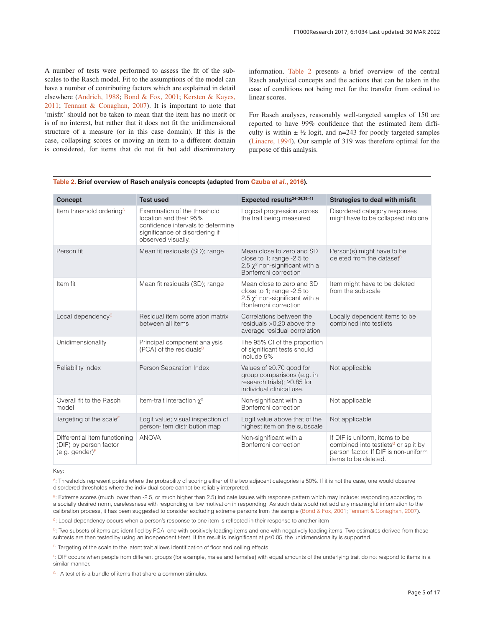A number of tests were performed to assess the fit of the subscales to the Rasch model. Fit to the assumptions of the model can have a number of contributing factors which are explained in detail elsewhere [\(Andrich, 1988; Bond & Fox, 2001](#page-11-0); [Kersten & Kayes,](#page-12-0) [2011](#page-12-0); [Tennant & Conaghan, 2007](#page-12-0)). It is important to note that 'misfit' should not be taken to mean that the item has no merit or is of no interest, but rather that it does not fit the unidimensional structure of a measure (or in this case domain). If this is the case, collapsing scores or moving an item to a different domain is considered, for items that do not fit but add discriminatory information. Table 2 presents a brief overview of the central Rasch analytical concepts and the actions that can be taken in the case of conditions not being met for the transfer from ordinal to linear scores.

For Rasch analyses, reasonably well-targeted samples of 150 are reported to have 99% confidence that the estimated item difficulty is within  $\pm \frac{1}{2}$  logit, and n=243 for poorly targeted samples [\(Linacre, 1994](#page-12-0)). Our sample of 319 was therefore optimal for the purpose of this analysis.

| <b>Concept</b>                                                               | <b>Test used</b>                                                                                                                                    | Expected results <sup>24-26,39-41</sup>                                                                                | <b>Strategies to deal with misfit</b>                                                                                                             |
|------------------------------------------------------------------------------|-----------------------------------------------------------------------------------------------------------------------------------------------------|------------------------------------------------------------------------------------------------------------------------|---------------------------------------------------------------------------------------------------------------------------------------------------|
| Item threshold ordering <sup>A</sup>                                         | Examination of the threshold<br>location and their 95%<br>confidence intervals to determine<br>significance of disordering if<br>observed visually. | Logical progression across<br>the trait being measured                                                                 | Disordered category responses<br>might have to be collapsed into one                                                                              |
| Person fit                                                                   | Mean fit residuals (SD); range                                                                                                                      | Mean close to zero and SD<br>close to 1; range -2.5 to<br>2.5 $\chi^2$ non-significant with a<br>Bonferroni correction | Person(s) might have to be<br>deleted from the dataset <sup>B</sup>                                                                               |
| Item fit                                                                     | Mean fit residuals (SD); range                                                                                                                      | Mean close to zero and SD<br>close to 1; range -2.5 to<br>2.5 $\chi^2$ non-significant with a<br>Bonferroni correction | Item might have to be deleted<br>from the subscale                                                                                                |
| Local dependency <sup>c</sup>                                                | Residual item correlation matrix<br>between all items                                                                                               | Correlations between the<br>residuals > 0.20 above the<br>average residual correlation                                 | Locally dependent items to be<br>combined into testlets                                                                                           |
| Unidimensionality                                                            | Principal component analysis<br>(PCA) of the residuals <sup>D</sup>                                                                                 | The 95% CI of the proportion<br>of significant tests should<br>include 5%                                              |                                                                                                                                                   |
| Reliability index                                                            | Person Separation Index                                                                                                                             | Values of ≥0.70 good for<br>group comparisons (e.g. in<br>research trials); ≥0.85 for<br>individual clinical use.      | Not applicable                                                                                                                                    |
| Overall fit to the Rasch<br>model                                            | Item-trait interaction $\chi^2$                                                                                                                     | Non-significant with a<br>Bonferroni correction                                                                        | Not applicable                                                                                                                                    |
| Targeting of the scale <sup>E</sup>                                          | Logit value; visual inspection of<br>person-item distribution map                                                                                   | Logit value above that of the<br>highest item on the subscale                                                          | Not applicable                                                                                                                                    |
| Differential item functioning<br>(DIF) by person factor<br>$(e.g. gender)^F$ | <b>ANOVA</b>                                                                                                                                        | Non-significant with a<br>Bonferroni correction                                                                        | If DIF is uniform, items to be<br>combined into testlets <sup>G</sup> or split by<br>person factor. If DIF is non-uniform<br>items to be deleted. |

## **Table 2. Brief overview of Rasch analysis concepts (adapted from [Czuba](#page-12-0)** *et al.***, 2016).**

Key:

A: Thresholds represent points where the probability of scoring either of the two adjacent categories is 50%. If it is not the case, one would observe disordered thresholds where the individual score cannot be reliably interpreted.

B: Extreme scores (much lower than -2.5, or much higher than 2.5) indicate issues with response pattern which may include: responding according to a socially desired norm, carelessness with responding or low motivation in responding. As such data would not add any meaningful information to the calibration process, it has been suggested to consider excluding extreme persons from the sample [\(Bond & Fox, 2001](#page-11-0); [Tennant & Conaghan, 2007\)](#page-12-0).

<sup>C</sup>: Local dependency occurs when a person's response to one item is reflected in their response to another item

D: Two subsets of items are identified by PCA: one with positively loading items and one with negatively loading items. Two estimates derived from these subtests are then tested by using an independent t-test. If the result is insignificant at p≤0.05, the unidimensionality is supported.

 $E$ : Targeting of the scale to the latent trait allows identification of floor and ceiling effects.

F: DIF occurs when people from different groups (for example, males and females) with equal amounts of the underlying trait do not respond to items in a similar manner.

 $G: A$  testlet is a bundle of items that share a common stimulus.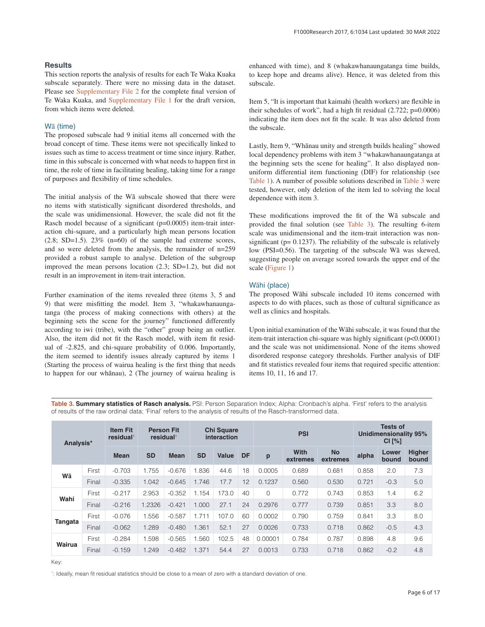### <span id="page-6-0"></span>**Results**

This section reports the analysis of results for each Te Waka Kuaka subscale separately. There were no missing data in the dataset. Please see [Supplementary File 2](#page-11-0) for the complete final version of Te Waka Kuaka, and [Supplementary File 1](#page-11-0) for the draft version, from which items were deleted.

# Wā (time)

The proposed subscale had 9 initial items all concerned with the broad concept of time. These items were not specifically linked to issues such as time to access treatment or time since injury. Rather, time in this subscale is concerned with what needs to happen first in time, the role of time in facilitating healing, taking time for a range of purposes and flexibility of time schedules.

The initial analysis of the Wā subscale showed that there were no items with statistically significant disordered thresholds, and the scale was unidimensional. However, the scale did not fit the Rasch model because of a significant (p=0.0005) item-trait interaction chi-square, and a particularly high mean persons location  $(2.8; SD=1.5)$ .  $23\%$   $(n=60)$  of the sample had extreme scores, and so were deleted from the analysis, the remainder of n=259 provided a robust sample to analyse. Deletion of the subgroup improved the mean persons location (2.3; SD=1.2), but did not result in an improvement in item-trait interaction.

Further examination of the items revealed three (items 3, 5 and 9) that were misfitting the model. Item 3, "whakawhanaungatanga (the process of making connections with others) at the beginning sets the scene for the journey" functioned differently according to iwi (tribe), with the "other" group being an outlier. Also, the item did not fit the Rasch model, with item fit residual of -2.825, and chi-square probability of 0.006. Importantly, the item seemed to identify issues already captured by items 1 (Starting the process of wairua healing is the first thing that needs to happen for our whānau), 2 (The journey of wairua healing is enhanced with time), and 8 (whakawhanaungatanga time builds, to keep hope and dreams alive). Hence, it was deleted from this subscale.

Item 5, "It is important that kaimahi (health workers) are flexible in their schedules of work", had a high fit residual (2.722; p=0.0006) indicating the item does not fit the scale. It was also deleted from the subscale.

Lastly, Item 9, "Whānau unity and strength builds healing" showed local dependency problems with item 3 "whakawhanaungatanga at the beginning sets the scene for healing". It also displayed nonuniform differential item functioning (DIF) for relationship (see [Table 1](#page-4-0)). A number of possible solutions described in Table 3 were tested, however, only deletion of the item led to solving the local dependence with item 3.

These modifications improved the fit of the Wā subscale and provided the final solution (see Table 3). The resulting 6-item scale was unidimensional and the item-trait interaction was nonsignificant ( $p= 0.1237$ ). The reliability of the subscale is relatively low (PSI=0.56). The targeting of the subscale Wā was skewed, suggesting people on average scored towards the upper end of the scale ([Figure 1](#page-7-0))

### Wāhi (place)

The proposed Wāhi subscale included 10 items concerned with aspects to do with places, such as those of cultural significance as well as clinics and hospitals.

Upon initial examination of the Wāhi subscale, it was found that the item-trait interaction chi-square was highly significant (p<0.00001) and the scale was not unidimensional. None of the items showed disordered response category thresholds. Further analysis of DIF and fit statistics revealed four items that required specific attention: items 10, 11, 16 and 17.

Table 3. Summary statistics of Rasch analysis. PSI: Person Separation Index; Alpha: Cronbach's alpha. 'First' refers to the analysis of results of the raw ordinal data; 'Final' refers to the analysis of results of the Rasch-transformed data.

| Analysis* |       | <b>Item Fit</b><br>residual | residual  | <b>Person Fit</b> | <b>Chi Square</b><br>interaction |       | <b>PSI</b> |         |                  | <b>Tests of</b><br><b>Unidimensionality 95%</b><br>CI [%] |       |                |                        |
|-----------|-------|-----------------------------|-----------|-------------------|----------------------------------|-------|------------|---------|------------------|-----------------------------------------------------------|-------|----------------|------------------------|
|           |       | <b>Mean</b>                 | <b>SD</b> | <b>Mean</b>       | <b>SD</b>                        | Value | <b>DF</b>  | p       | With<br>extremes | <b>No</b><br>extremes                                     | alpha | Lower<br>bound | <b>Higher</b><br>bound |
| Wā        | First | $-0.703$                    | 1.755     | $-0.676$          | .836                             | 44.6  | 18         | 0.0005  | 0.689            | 0.681                                                     | 0.858 | 2.0            | 7.3                    |
|           | Final | $-0.335$                    | 1.042     | $-0.645$          | 1.746                            | 17.7  | 12         | 0.1237  | 0.560            | 0.530                                                     | 0.721 | $-0.3$         | 5.0                    |
| Wahi      | First | $-0.217$                    | 2.953     | $-0.352$          | 1.154                            | 173.0 | 40         | 0       | 0.772            | 0.743                                                     | 0.853 | 1.4            | 6.2                    |
|           | Final | $-0.216$                    | 1.2326    | $-0.421$          | 1.000                            | 27.1  | 24         | 0.2976  | 0.777            | 0.739                                                     | 0.851 | 3.3            | 8.0                    |
|           | First | $-0.076$                    | 1.556     | $-0.587$          | 1.711                            | 107.0 | 60         | 0.0002  | 0.790            | 0.759                                                     | 0.841 | 3.3            | 8.0                    |
| Tangata   | Final | $-0.062$                    | 1.289     | $-0.480$          | 1.361                            | 52.1  | 27         | 0.0026  | 0.733            | 0.718                                                     | 0.862 | $-0.5$         | 4.3                    |
| Wairua    | First | $-0.284$                    | 1.598     | $-0.565$          | .560                             | 102.5 | 48         | 0.00001 | 0.784            | 0.787                                                     | 0.898 | 4.8            | 9.6                    |
|           | Final | $-0.159$                    | 1.249     | $-0.482$          | 1.371                            | 54.4  | 27         | 0.0013  | 0.733            | 0.718                                                     | 0.862 | $-0.2$         | 4.8                    |

Key:

1 : Ideally, mean fit residual statistics should be close to a mean of zero with a standard deviation of one.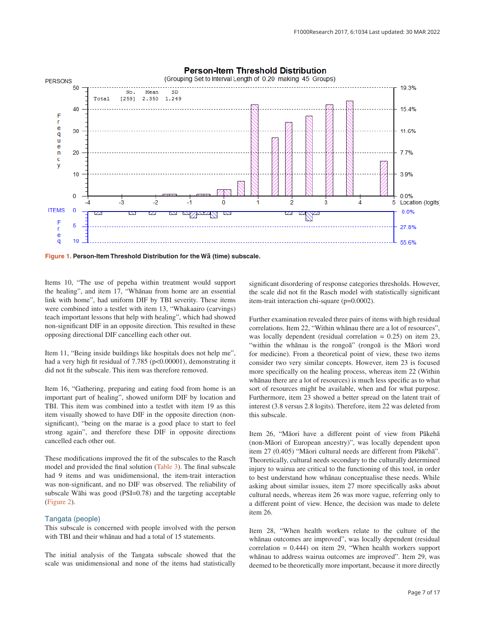<span id="page-7-0"></span>

**Figure 1. Person-Item Threshold Distribution for the Wā (time) subscale.**

Items 10, "The use of pepeha within treatment would support the healing", and item 17, "Whānau from home are an essential link with home", had uniform DIF by TBI severity. These items were combined into a testlet with item 13, "Whakaairo (carvings) teach important lessons that help with healing", which had showed non-significant DIF in an opposite direction. This resulted in these opposing directional DIF cancelling each other out.

Item 11, "Being inside buildings like hospitals does not help me", had a very high fit residual of 7.785 (p<0.00001), demonstrating it did not fit the subscale. This item was therefore removed.

Item 16, "Gathering, preparing and eating food from home is an important part of healing", showed uniform DIF by location and TBI. This item was combined into a testlet with item 19 as this item visually showed to have DIF in the opposite direction (nonsignificant), "being on the marae is a good place to start to feel strong again", and therefore these DIF in opposite directions cancelled each other out.

These modifications improved the fit of the subscales to the Rasch model and provided the final solution ([Table 3\)](#page-6-0). The final subscale had 9 items and was unidimensional, the item-trait interaction was non-significant, and no DIF was observed. The reliability of subscale Wāhi was good (PSI=0.78) and the targeting acceptable ([Figure 2\)](#page-8-0).

### Tangata (people)

This subscale is concerned with people involved with the person with TBI and their whānau and had a total of 15 statements.

The initial analysis of the Tangata subscale showed that the scale was unidimensional and none of the items had statistically significant disordering of response categories thresholds. However, the scale did not fit the Rasch model with statistically significant item-trait interaction chi-square (p=0.0002).

Further examination revealed three pairs of items with high residual correlations. Item 22, "Within whānau there are a lot of resources", was locally dependent (residual correlation  $= 0.25$ ) on item 23, "within the whānau is the rongoā" (rongoā is the Māori word for medicine). From a theoretical point of view, these two items consider two very similar concepts. However, item 23 is focused more specifically on the healing process, whereas item 22 (Within whānau there are a lot of resources) is much less specific as to what sort of resources might be available, when and for what purpose. Furthermore, item 23 showed a better spread on the latent trait of interest (3.8 versus 2.8 logits). Therefore, item 22 was deleted from this subscale.

Item 26, "Māori have a different point of view from Pākehā (non-Māori of European ancestry)", was locally dependent upon item 27 (0.405) "Māori cultural needs are different from Pākehā". Theoretically, cultural needs secondary to the culturally determined injury to wairua are critical to the functioning of this tool, in order to best understand how whānau conceptualise these needs. While asking about similar issues, item 27 more specifically asks about cultural needs, whereas item 26 was more vague, referring only to a different point of view. Hence, the decision was made to delete item 26.

Item 28, "When health workers relate to the culture of the whānau outcomes are improved", was locally dependent (residual correlation = 0.444) on item 29, "When health workers support whānau to address wairua outcomes are improved". Item 29, was deemed to be theoretically more important, because it more directly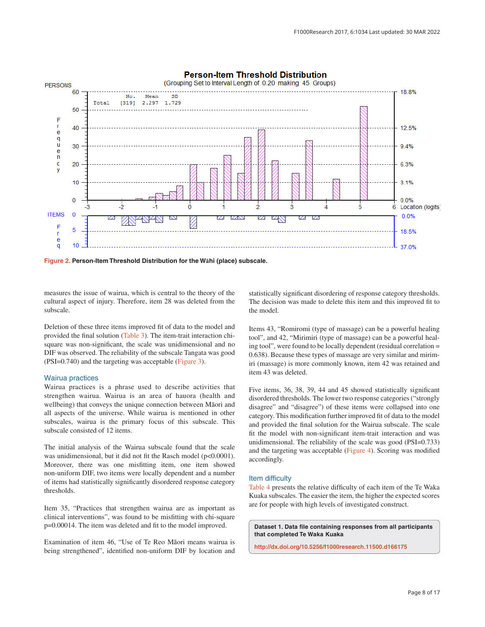<span id="page-8-0"></span>

# **Person-Item Threshold Distribution**

**Figure 2. Person-Item Threshold Distribution for the Wāhi (place) subscale.**

measures the issue of wairua, which is central to the theory of the cultural aspect of injury. Therefore, item 28 was deleted from the subscale.

Deletion of these three items improved fit of data to the model and provided the final solution ([Table 3](#page-6-0)). The item-trait interaction chisquare was non-significant, the scale was unidimensional and no DIF was observed. The reliability of the subscale Tangata was good (PSI=0.740) and the targeting was acceptable [\(Figure 3\)](#page-9-0).

#### Wairua practices

Wairua practices is a phrase used to describe activities that strengthen wairua. Wairua is an area of hauora (health and wellbeing) that conveys the unique connection between Māori and all aspects of the universe. While wairua is mentioned in other subscales, wairua is the primary focus of this subscale. This subscale consisted of 12 items.

The initial analysis of the Wairua subscale found that the scale was unidimensional, but it did not fit the Rasch model (p<0.0001). Moreover, there was one misfitting item, one item showed non-uniform DIF, two items were locally dependent and a number of items had statistically significantly disordered response category thresholds.

Item 35, "Practices that strengthen wairua are as important as clinical interventions", was found to be misfitting with chi-square p=0.00014. The item was deleted and fit to the model improved.

Examination of item 46, "Use of Te Reo Māori means wairua is being strengthened", identified non-uniform DIF by location and statistically significant disordering of response category thresholds. The decision was made to delete this item and this improved fit to the model.

Items 43, "Romiromi (type of massage) can be a powerful healing tool", and 42, "Mirimiri (type of massage) can be a powerful healing tool", were found to be locally dependent (residual correlation = 0.638). Because these types of massage are very similar and mirimiri (massage) is more commonly known, item 42 was retained and item 43 was deleted.

Five items, 36, 38, 39, 44 and 45 showed statistically significant disordered thresholds. The lower two response categories ("strongly disagree" and "disagree") of these items were collapsed into one category. This modification further improved fit of data to the model and provided the final solution for the Wairua subscale. The scale fit the model with non-significant item-trait interaction and was unidimensional. The reliability of the scale was good (PSI=0.733) and the targeting was acceptable ([Figure 4](#page-9-0)). Scoring was modified accordingly.

#### Item difficulty

[Table 4](#page-10-0) presents the relative difficulty of each item of the Te Waka Kuaka subscales. The easier the item, the higher the expected scores are for people with high levels of investigated construct.

**Dataset 1. Data file containing responses from all participants that completed Te Waka Kuaka**

**<http://dx.doi.org/10.5256/f1000research.11500.d166175>**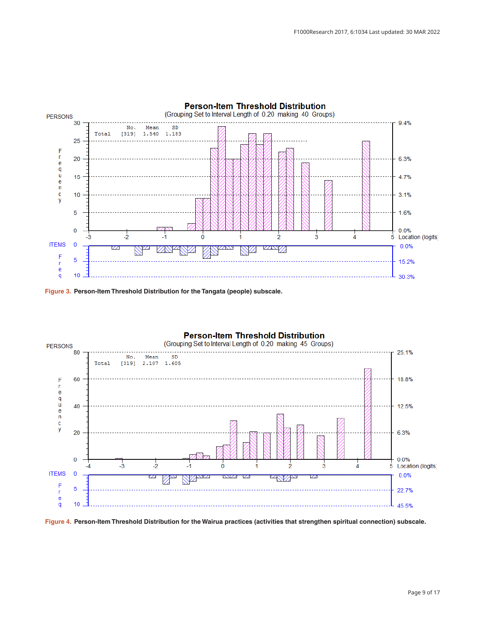<span id="page-9-0"></span>

**Figure 3. Person-Item Threshold Distribution for the Tangata (people) subscale.**



**Figure 4. Person-Item Threshold Distribution for the Wairua practices (activities that strengthen spiritual connection) subscale.**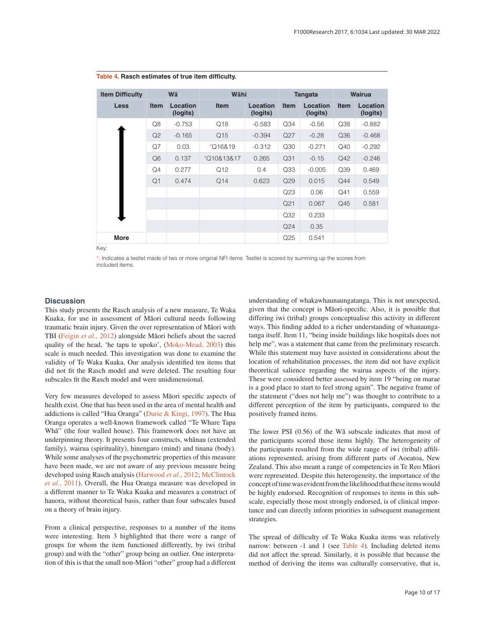| <b>Item Difficulty</b> | Wā             |                      | Wāhi        |                      | <b>Tangata</b>  |                      | <b>Wairua</b> |                      |
|------------------------|----------------|----------------------|-------------|----------------------|-----------------|----------------------|---------------|----------------------|
| <b>Less</b>            | <b>Item</b>    | Location<br>(logits) | <b>Item</b> | Location<br>(logits) | <b>Item</b>     | Location<br>(logits) | <b>Item</b>   | Location<br>(logits) |
|                        | Q8             | $-0.753$             | Q18         | $-0.583$             | Q34             | $-0.56$              | Q38           | $-0.882$             |
|                        | Q2             | $-0.165$             | Q15         | $-0.394$             | Q27             | $-0.28$              | Q36           | $-0.468$             |
|                        | Q7             | 0.03                 | $*$ Q16&19  | $-0.312$             | Q30             | $-0.271$             | Q40           | $-0.292$             |
|                        | Q <sub>6</sub> | 0.137                | *Q10&13&17  | 0.265                | Q31             | $-0.15$              | Q42           | $-0.246$             |
|                        | Q4             | 0.277                | Q12         | 0.4                  | Q <sub>33</sub> | $-0.005$             | Q39           | 0.469                |
|                        | Q <sub>1</sub> | 0.474                | Q14         | 0.623                | Q29             | 0.015                | Q44           | 0.549                |
|                        |                |                      |             |                      | Q23             | 0.06                 | Q41           | 0.559                |
|                        |                |                      |             |                      | Q <sub>21</sub> | 0.067                | Q45           | 0.581                |
|                        |                |                      |             |                      | Q32             | 0.233                |               |                      |
|                        |                |                      |             |                      | Q <sub>24</sub> | 0.35                 |               |                      |
| <b>More</b>            |                |                      |             |                      | Q <sub>25</sub> | 0.541                |               |                      |

<span id="page-10-0"></span>

|  |  | Table 4. Rasch estimates of true item difficulty. |  |  |  |  |
|--|--|---------------------------------------------------|--|--|--|--|
|--|--|---------------------------------------------------|--|--|--|--|

Key:

\*: Indicates a testlet made of two or more original NFI items. Testlet is scored by summing up the scores from included items.

#### **Discussion**

This study presents the Rasch analysis of a new measure, Te Waka Kuaka, for use in assessment of Māori cultural needs following traumatic brain injury. Given the over representation of Māori with TBI (Feigin *et al*[., 2012\)](#page-12-0) alongside Māori beliefs about the sacred quality of the head, 'he tapu te upoko', ([Moko-Mead, 2003](#page-12-0)) this scale is much needed. This investigation was done to examine the validity of Te Waka Kuaka. Our analysis identified ten items that did not fit the Rasch model and were deleted. The resulting four subscales fit the Rasch model and were unidimensional.

Very few measures developed to assess Māori specific aspects of health exist. One that has been used in the area of mental health and addictions is called "Hua Oranga" [\(Durie & Kingi, 1997](#page-12-0)). The Hua Oranga operates a well-known framework called "Te Whare Tapa Whā" (the four walled house). This framework does not have an underpinning theory. It presents four constructs, whānau (extended family), wairua (spirituality), hinengaro (mind) and tinana (body). While some analyses of the psychometric properties of this measure have been made, we are not aware of any previous measure being developed using Rasch analysis ([Harwood](#page-12-0) *et al*., 2012; [McClintock](#page-12-0)  *et al*[., 2011\)](#page-12-0). Overall, the Hua Oranga measure was developed in a different manner to Te Waka Kuaka and measures a construct of hauora, without theoretical basis, rather than four subscales based on a theory of brain injury.

From a clinical perspective, responses to a number of the items were interesting. Item 3 highlighted that there were a range of groups for whom the item functioned differently, by iwi (tribal group) and with the "other" group being an outlier. One interpretation of this is that the small non-Māori "other" group had a different

understanding of whakawhaunaungatanga. This is not unexpected, given that the concept is Māori-specific. Also, it is possible that differing iwi (tribal) groups conceptualise this activity in different ways. This finding added to a richer understanding of whanaungatanga itself. Item 11, "being inside buildings like hospitals does not help me", was a statement that came from the preliminary research. While this statement may have assisted in considerations about the location of rehabilitation processes, the item did not have explicit theoretical salience regarding the wairua aspects of the injury. These were considered better assessed by item 19 "being on marae is a good place to start to feel strong again". The negative frame of the statement ("does not help me") was thought to contribute to a different perception of the item by participants, compared to the positively framed items.

The lower PSI (0.56) of the Wā subscale indicates that most of the participants scored those items highly. The heterogeneity of the participants resulted from the wide range of iwi (tribal) affiliations represented, arising from different parts of Aoeatoa, New Zealand. This also meant a range of competencies in Te Reo Māori were represented. Despite this heterogeneity, the importance of the concept of time was evident from the likelihood that these items would be highly endorsed. Recognition of responses to items in this subscale, especially those most strongly endorsed, is of clinical importance and can directly inform priorities in subsequent management strategies.

The spread of difficulty of Te Waka Kuaka items was relatively narrow: between -1 and 1 (see Table 4). Including deleted items did not affect the spread. Similarly, it is possible that because the method of deriving the items was culturally conservative, that is,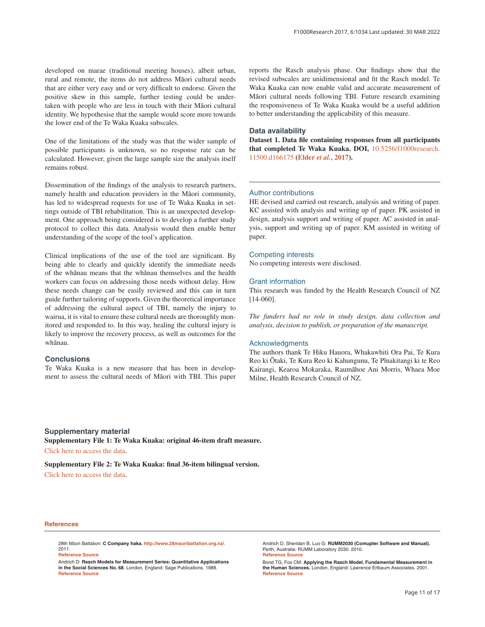<span id="page-11-0"></span>developed on marae (traditional meeting houses), albeit urban, rural and remote, the items do not address Māori cultural needs that are either very easy and or very difficult to endorse. Given the positive skew in this sample, further testing could be undertaken with people who are less in touch with their Māori cultural identity. We hypothesise that the sample would score more towards the lower end of the Te Waka Kuaka subscales.

One of the limitations of the study was that the wider sample of possible participants is unknown, so no response rate can be calculated. However, given the large sample size the analysis itself remains robust.

Dissemination of the findings of the analysis to research partners, namely health and education providers in the Māori community, has led to widespread requests for use of Te Waka Kuaka in settings outside of TBI rehabilitation. This is an unexpected development. One approach being considered is to develop a further study protocol to collect this data. Analysis would then enable better understanding of the scope of the tool's application.

Clinical implications of the use of the tool are significant. By being able to clearly and quickly identify the immediate needs of the whānau means that the whānau themselves and the health workers can focus on addressing those needs without delay. How these needs change can be easily reviewed and this can in turn guide further tailoring of supports. Given the theoretical importance of addressing the cultural aspect of TBI, namely the injury to wairua, it is vital to ensure these cultural needs are thoroughly monitored and responded to. In this way, healing the cultural injury is likely to improve the recovery process, as well as outcomes for the whānau.

#### **Conclusions**

Te Waka Kuaka is a new measure that has been in development to assess the cultural needs of Māori with TBI. This paper reports the Rasch analysis phase. Our findings show that the revised subscales are unidimensional and fit the Rasch model. Te Waka Kuaka can now enable valid and accurate measurement of Māori cultural needs following TBI. Future research examining the responsiveness of Te Waka Kuaka would be a useful addition to better understanding the applicability of this measure.

#### **Data availability**

**Dataset 1. Data file containing responses from all participants that completed Te Waka Kuaka. DOI,** [10.5256/f1000research.](http://dx.doi.org/10.5256/f1000research.11500.d166175) [11500.d166175](http://dx.doi.org/10.5256/f1000research.11500.d166175) **[\(Elder](#page-12-0)** *et al.***, 2017).**

#### Author contributions

HE devised and carried out research, analysis and writing of paper. KC assisted with analysis and writing up of paper. PK assisted in design, analysis support and writing of paper. AC assisted in analysis, support and writing up of paper. KM assisted in writing of paper.

#### Competing interests

No competing interests were disclosed.

#### Grant information

This research was funded by the Health Research Council of NZ [14-060].

*The funders had no role in study design, data collection and analysis, decision to publish, or preparation of the manuscript.*

#### **Acknowledgments**

The authors thank Te Hiku Hauora, Whakawhiti Ora Pai, Te Kura Reo ki Ōtaki, Te Kura Reo ki Kahungunu, Te Pīnakitangi ki te Reo Kairangi, Kearoa Mokaraka, Raumāhoe Ani Morris, Whaea Moe Milne, Health Research Council of NZ.

#### **Supplementary material**

**Supplementary File 1: Te Waka Kuaka: original 46-item draft measure.** [Click here to access the data](https://f1000researchdata.s3.amazonaws.com/supplementary/11500/6a868303-ebc9-4f93-9c52-38feb75a06d8.xlsb).

**Supplementary File 2: Te Waka Kuaka: final 36-item bilingual version.** [Click here to access the data](https://f1000researchdata.s3.amazonaws.com/supplementary/11500/145e2c86-b514-47b1-8929-8c13a5b12e4e.docx).

#### **References**

28th Māori Battalion: **C Company haka. <http://www.28maoribattalion.org.nz/>**. 2011. **[Reference Source](http://www.28maoribattalion.org.nz/audio/c-company-haka)**

Andrich D: **Rasch Models for Measurement Series: Quantitative Applications in the Social Sciences No. 68**. London, England: Sage Publications. 1988. **[Reference Source](https://us.sagepub.com/en-us/nam/rasch-models-for-measurement/book2266)**

Andrich D, Sheridan B, Luo G: **RUMM2030 (Comupter Software and Manual).** Perth, Australia: RUMM Laboratory 2030. 2010. **[Reference Source](http://www.rummlab.com.au/rumm2020/rumm2020.html)**

Bond TG, Fox CM: **Applying the Rasch Model. Fundamental Measurement in the Human Sciences.** London, England: Lawrence Erlbaum Associates. 2001. **[Reference Source](https://www.rasch.org/rmt/rmt151c.htm)**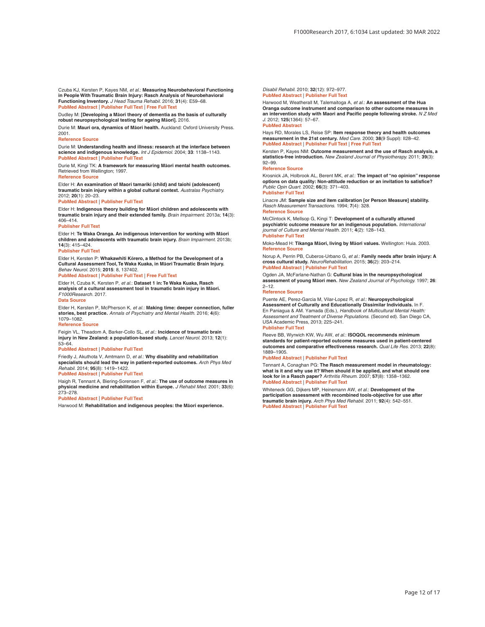<span id="page-12-0"></span>Czuba KJ, Kersten P, Kayes NM, *et al.*: **Measuring Neurobehavioral Functioning in People With Traumatic Brain Injury: Rasch Analysis of Neurobehavioral Functioning Inventory.** *J Head Trauma Rehabil.* 2016; **31**(4): E59–68. **[PubMed Abstract](http://www.ncbi.nlm.nih.gov/pubmed/26394297)** | **[Publisher Full Text](http://dx.doi.org/10.1097/HTR.0000000000000170)** | **[Free Full Text](http://www.ncbi.nlm.nih.gov/pmc/articles/4949000)**

Dudley M: **[Developing a Māori theory of dementia as the basis of culturally robust neuropsychological testing for ageing Māori].** 2016.

Durie M: **Mauri ora, dynamics of Māori health.** Auckland: Oxford University Press. 2001.

#### **[Reference Source](http://www.worldcat.org/title/mauri-ora-the-dynamics-of-maori-health/oclc/51009298)**

Durie M: **Understanding health and illness: research at the interface between science and indigenous knowledge.** *Int J Epidemiol.* 2004; **33**: 1138–1143. **[PubMed Abstract](http://www.ncbi.nlm.nih.gov/pubmed/15218015)** | **[Publisher Full Text](http://dx.doi.org/10.1093/ije/dyh250)**

Durie M, Kingi TK: **A framework for measuring Māori mental health outcomes.** Retrieved from Wellington; 1997. **[Reference Source](http://www.moh.govt.nz/notebook/nbbooks.nsf/0/567936DB7B6D4D57CC25711D0007C250/$file/A framework for measuring maori mental.pdf)**

Elder H: **An examination of Maori tamariki (child) and taiohi (adolescent) traumatic brain injury within a global cultural context.** *Australas Psychiatry.* 2012; **20**(1): 20–23.

#### **[PubMed Abstract](http://www.ncbi.nlm.nih.gov/pubmed/22357670)** | **[Publisher Full Text](http://dx.doi.org/10.1177/1039856211430147)**

Elder H: **Indigenous theory building for Māori children and adolescents with traumatic brain injury and their extended family.** *Brain Impairment.* 2013a; **14**(3): 406–414.

#### **[Publisher Full Text](http://dx.doi.org/10.1017/Brimp.2013.28)**

Elder H: **Te Waka Oranga. An indigenous intervention for working with Māori children and adolescents with traumatic brain injury.** *Brain Impairment.* 2013b; **14**(3): 415–424.

#### **[Publisher Full Text](http://dx.doi.org/10.1017/BrImp.2013.29)**

Elder H, Kersten P: **Whakawhiti Kōrero, a Method for the Development of a Cultural Assessment Tool, Te Waka Kuaka, in Māori Traumatic Brain Injury.** *Behav Neurol.* 2015; **2015**: 8, 137402.

#### **[PubMed Abstract](http://www.ncbi.nlm.nih.gov/pubmed/26576070)** | **[Publisher Full Text](http://dx.doi.org/10.1155/2015/137402)** | **[Free Full Text](http://www.ncbi.nlm.nih.gov/pmc/articles/4631859)**

Elder H, Czuba K, Kersten P, *et al.*: **Dataset 1 in: Te Waka Kuaka, Rasch analysis of a cultural assessment tool in traumatic brain injury in Māori.** *F1000Research.* 2017.

#### **[Data Source](http://dx.doi.org/10.5256/f1000research.11500.d166175)**

Elder H, Kersten P, McPherson K, *et al.*: **Making time: deeper connection, fuller stories, best practice.** *Annals of Psychiatry and Mental Health.* 2016; **4**(6): 1079–1082.

#### **[Reference Source](http://eprints.brighton.ac.uk/16204/1/Elder 2016 Making Time... Aug 16.pdf)**

Feigin VL, Theadom A, Barker-Collo SL, *et al.*: **Incidence of traumatic brain injury in New Zealand: a population-based study.** *Lancet Neurol.* 2013; **12**(1): 53–64.

#### **[PubMed Abstract](http://www.ncbi.nlm.nih.gov/pubmed/23177532)** | **[Publisher Full Text](http://dx.doi.org/10.1016/S1474-4422(12)70262-4)**

Friedly J, Akuthota V, Amtmann D, *et al.*: **Why disability and rehabilitation specialists should lead the way in patient-reported outcomes.** *Arch Phys Med Rehabil.* 2014; **95**(8): 1419–1422.

# **[PubMed Abstract](http://www.ncbi.nlm.nih.gov/pubmed/24732170)** | **[Publisher Full Text](http://dx.doi.org/10.1016/j.apmr.2014.03.022)**

Haigh R, Tennant A, Biering-Sorensen F, *et al.*: **The use of outcome measures in physical medicine and rehabilitation within Europe.** *J Rehabil Med.* 2001; **33**(6): 273–278.

#### **[PubMed Abstract](http://www.ncbi.nlm.nih.gov/pubmed/11766957)** | **[Publisher Full Text](http://dx.doi.org/10.1080/165019701753236464)**

Harwood M: **Rehabilitation and indigenous peoples: the Māori experience.**

#### *Disabil Rehabil.* 2010; **32**(12): 972–977. **[PubMed Abstract](http://www.ncbi.nlm.nih.gov/pubmed/20387994)** | **[Publisher Full Text](http://dx.doi.org/10.3109/09638281003775378)**

Harwood M, Weatherall M, Talemaitoga A, *et al.*: **An assessment of the Hua Oranga outcome instrument and comparison to other outcome measures in an intervention study with Maori and Pacific people following stroke.** *N Z Med J.* 2012; **125**(1364): 57–67. **[PubMed Abstract](http://www.ncbi.nlm.nih.gov/pubmed/23242398)**

Hays RD, Morales LS, Reise SP: **Item response theory and health outcomes measurement in the 21st century.** *Med Care.* 2000; **38**(9 Suppl): II28–42. **[PubMed Abstract](http://www.ncbi.nlm.nih.gov/pubmed/10982088)** | **[Publisher Full Text](http://dx.doi.org/10.1097/00005650-200009002-00007)** | **[Free Full Text](http://www.ncbi.nlm.nih.gov/pmc/articles/1815384)**

#### Kersten P, Kayes NM: **Outcome measurement and the use of Rasch analysis, a statistics-free introduction.** *New Zealand Journal of Physiotherapy.* 2011; **39**(3): 92–99.

#### **[Reference Source](http://aut.researchgateway.ac.nz/handle/10292/2654)**

Krosnick JA, Holbrook AL, Berent MK, *et al.*: **The impact of "no opinion" response options on data quality: Non-attitude reduction or an invitation to satisfice?** *Public Opin Quart.* 2002; **66**(3): 371–403. **[Publisher Full Text](http://dx.doi.org/10.1086/341394)**

Linacre JM: **Sample size and item calibration [or Person Measure] stability.** *Rasch Measurement Transactions.* 1994; **7**(4): 328. **[Reference Source](http://www.rasch.org/rmt/rmt74m.htm)**

McClintock K, Mellsop G, Kingi T: **Development of a culturally attuned psychiatric outcome measure for an indigenous population.** *International journal of Culture and Mental Health.* 2011; **4**(2): 128–143. **[Publisher Full Text](http://dx.doi.org/10.1080/17542863.2010.537484)**

Moko-Mead H: **Tikanga Māori, living by Māori values.** Wellington: Huia. 2003. **[Reference Source](https://books.google.co.in/books?id=XXa3fXxLshMC&printsec=frontcover&source=gbs_ge_summary_r&cad=0#v=onepage&q&f=false)**

Norup A, Perrin PB, Cuberos-Urbano G, *et al.*: **Family needs after brain injury: A cross cultural study.** *NeuroRehabilitation.* 2015; **36**(2): 203–214. **[PubMed Abstract](http://www.ncbi.nlm.nih.gov/pubmed/26410614)** | **[Publisher Full Text](http://dx.doi.org/10.3233/NRE-151208)**

Ogden JA, McFarlane-Nathan G: **Cultural bias in the neuropsychological assessment of young Māori men.** *New Zealand Journal of Psychology.* 1997; **26**: 2–12.

#### **[Reference Source](http://www.psychology.org.nz/wp-content/uploads/NZJP-Vol262-1997-1-Ogden.pdf)**

Puente AE, Perez-Garcia M, Vilar-Lopez R, *et al.*: **Neuropsychological Assessment of Culturally and Educationally Dissimilar Individuals.** In F. En Paniagua & AM. Yamada (Eds.), *Handbook of Multicultural Mental Health: Assessment and Treatment of Diverse Populations.* (Second ed). San Diego CA, USA Academic Press, 2013; 225–241.

#### **[Publisher Full Text](http://dx.doi.org/10.1016/B978-0-12-394420-7.00012-6)**

Reeve BB, Wyrwich KW, Wu AW, *et al.*: **ISOQOL recommends minimum standards for patient-reported outcome measures used in patient-centered outcomes and comparative effectiveness research.** *Qual Life Res.* 2013; **22**(8): 1889–1905.

#### **[PubMed Abstract](http://www.ncbi.nlm.nih.gov/pubmed/23288613)** | **[Publisher Full Text](http://dx.doi.org/10.1007/s11136-012-0344-y)**

Tennant A, Conaghan PG: **The Rasch measurement model in rheumatology: what is it and why use it? When should it be applied, and what should one look for in a Rasch paper?** *Arthritis Rheum.* 2007; **57**(8): 1358–1362. **[PubMed Abstract](http://www.ncbi.nlm.nih.gov/pubmed/18050173)** | **[Publisher Full Text](http://dx.doi.org/10.1002/art.23108)**

Whiteneck GG, Dijkers MP, Heinemann AW, *et al.*: **Development of the participation assessment with recombined tools-objective for use after traumatic brain injury.** *Arch Phys Med Rehabil.* 2011; **92**(4): 542–551. **[PubMed Abstract](http://www.ncbi.nlm.nih.gov/pubmed/21367393)** | **[Publisher Full Text](http://dx.doi.org/10.1016/j.apmr.2010.08.002)**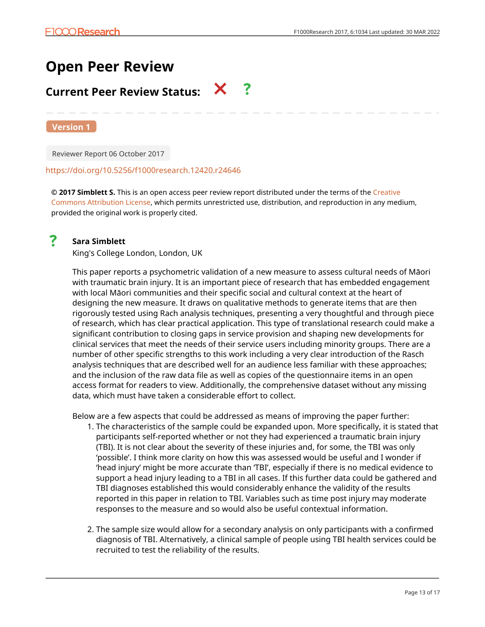# **Open Peer Review**

# **Current Peer Review Status:**  $\mathsf{X}$  ?

**Version 1**

Reviewer Report 06 October 2017

# <https://doi.org/10.5256/f1000research.12420.r24646>

**© 2017 Simblett S.** This is an open access peer review report distributed under the terms of the [Creative](https://creativecommons.org/licenses/by/4.0/) [Commons Attribution License](https://creativecommons.org/licenses/by/4.0/), which permits unrestricted use, distribution, and reproduction in any medium, provided the original work is properly cited.



# **Sara Simblett**

King's College London, London, UK

This paper reports a psychometric validation of a new measure to assess cultural needs of Māori with traumatic brain injury. It is an important piece of research that has embedded engagement with local Māori communities and their specific social and cultural context at the heart of designing the new measure. It draws on qualitative methods to generate items that are then rigorously tested using Rach analysis techniques, presenting a very thoughtful and through piece of research, which has clear practical application. This type of translational research could make a significant contribution to closing gaps in service provision and shaping new developments for clinical services that meet the needs of their service users including minority groups. There are a number of other specific strengths to this work including a very clear introduction of the Rasch analysis techniques that are described well for an audience less familiar with these approaches; and the inclusion of the raw data file as well as copies of the questionnaire items in an open access format for readers to view. Additionally, the comprehensive dataset without any missing data, which must have taken a considerable effort to collect.

Below are a few aspects that could be addressed as means of improving the paper further:

- 1. The characteristics of the sample could be expanded upon. More specifically, it is stated that participants self-reported whether or not they had experienced a traumatic brain injury (TBI). It is not clear about the severity of these injuries and, for some, the TBI was only 'possible'. I think more clarity on how this was assessed would be useful and I wonder if 'head injury' might be more accurate than 'TBI', especially if there is no medical evidence to support a head injury leading to a TBI in all cases. If this further data could be gathered and TBI diagnoses established this would considerably enhance the validity of the results reported in this paper in relation to TBI. Variables such as time post injury may moderate responses to the measure and so would also be useful contextual information.
- 2. The sample size would allow for a secondary analysis on only participants with a confirmed diagnosis of TBI. Alternatively, a clinical sample of people using TBI health services could be recruited to test the reliability of the results.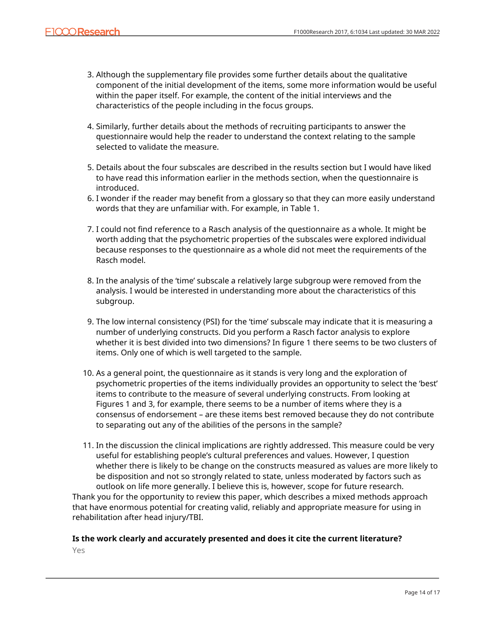- Although the supplementary file provides some further details about the qualitative 3. component of the initial development of the items, some more information would be useful within the paper itself. For example, the content of the initial interviews and the characteristics of the people including in the focus groups.
- 4. Similarly, further details about the methods of recruiting participants to answer the questionnaire would help the reader to understand the context relating to the sample selected to validate the measure.
- Details about the four subscales are described in the results section but I would have liked 5. to have read this information earlier in the methods section, when the questionnaire is introduced.
- 6. I wonder if the reader may benefit from a glossary so that they can more easily understand words that they are unfamiliar with. For example, in Table 1.
- I could not find reference to a Rasch analysis of the questionnaire as a whole. It might be 7. worth adding that the psychometric properties of the subscales were explored individual because responses to the questionnaire as a whole did not meet the requirements of the Rasch model.
- 8. In the analysis of the 'time' subscale a relatively large subgroup were removed from the analysis. I would be interested in understanding more about the characteristics of this subgroup.
- 9. The low internal consistency (PSI) for the 'time' subscale may indicate that it is measuring a number of underlying constructs. Did you perform a Rasch factor analysis to explore whether it is best divided into two dimensions? In figure 1 there seems to be two clusters of items. Only one of which is well targeted to the sample.
- 10. As a general point, the questionnaire as it stands is very long and the exploration of psychometric properties of the items individually provides an opportunity to select the 'best' items to contribute to the measure of several underlying constructs. From looking at Figures 1 and 3, for example, there seems to be a number of items where they is a consensus of endorsement – are these items best removed because they do not contribute to separating out any of the abilities of the persons in the sample?
- In the discussion the clinical implications are rightly addressed. This measure could be very 11. useful for establishing people's cultural preferences and values. However, I question whether there is likely to be change on the constructs measured as values are more likely to be disposition and not so strongly related to state, unless moderated by factors such as outlook on life more generally. I believe this is, however, scope for future research.

Thank you for the opportunity to review this paper, which describes a mixed methods approach that have enormous potential for creating valid, reliably and appropriate measure for using in rehabilitation after head injury/TBI.

# **Is the work clearly and accurately presented and does it cite the current literature?**

Yes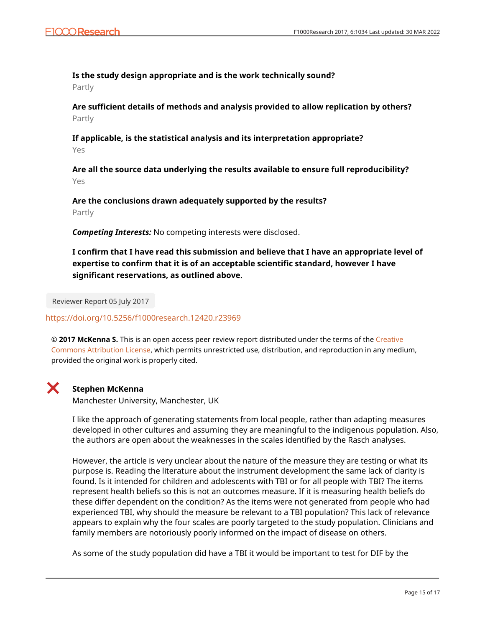# **Is the study design appropriate and is the work technically sound?**

Partly

**Are sufficient details of methods and analysis provided to allow replication by others?** Partly

**If applicable, is the statistical analysis and its interpretation appropriate?** Yes

**Are all the source data underlying the results available to ensure full reproducibility?** Yes

**Are the conclusions drawn adequately supported by the results?** Partly

*Competing Interests:* No competing interests were disclosed.

**I confirm that I have read this submission and believe that I have an appropriate level of expertise to confirm that it is of an acceptable scientific standard, however I have significant reservations, as outlined above.**

Reviewer Report 05 July 2017

<https://doi.org/10.5256/f1000research.12420.r23969>

**© 2017 McKenna S.** This is an open access peer review report distributed under the terms of the [Creative](https://creativecommons.org/licenses/by/4.0/) [Commons Attribution License](https://creativecommons.org/licenses/by/4.0/), which permits unrestricted use, distribution, and reproduction in any medium, provided the original work is properly cited.

# X.

# **Stephen McKenna**

Manchester University, Manchester, UK

I like the approach of generating statements from local people, rather than adapting measures developed in other cultures and assuming they are meaningful to the indigenous population. Also, the authors are open about the weaknesses in the scales identified by the Rasch analyses.

However, the article is very unclear about the nature of the measure they are testing or what its purpose is. Reading the literature about the instrument development the same lack of clarity is found. Is it intended for children and adolescents with TBI or for all people with TBI? The items represent health beliefs so this is not an outcomes measure. If it is measuring health beliefs do these differ dependent on the condition? As the items were not generated from people who had experienced TBI, why should the measure be relevant to a TBI population? This lack of relevance appears to explain why the four scales are poorly targeted to the study population. Clinicians and family members are notoriously poorly informed on the impact of disease on others.

As some of the study population did have a TBI it would be important to test for DIF by the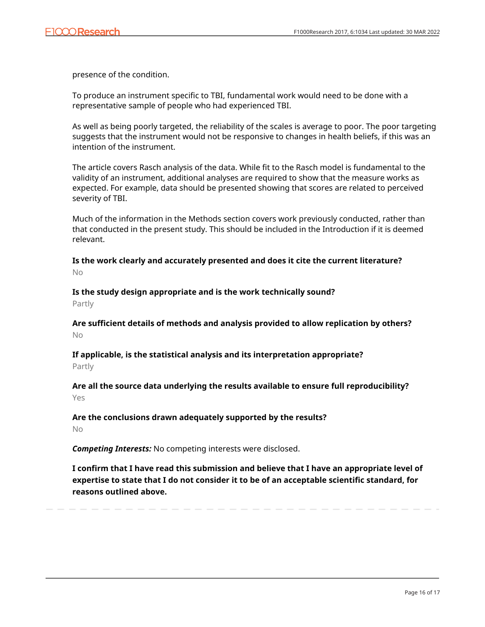presence of the condition.

To produce an instrument specific to TBI, fundamental work would need to be done with a representative sample of people who had experienced TBI.

As well as being poorly targeted, the reliability of the scales is average to poor. The poor targeting suggests that the instrument would not be responsive to changes in health beliefs, if this was an intention of the instrument.

The article covers Rasch analysis of the data. While fit to the Rasch model is fundamental to the validity of an instrument, additional analyses are required to show that the measure works as expected. For example, data should be presented showing that scores are related to perceived severity of TBI.

Much of the information in the Methods section covers work previously conducted, rather than that conducted in the present study. This should be included in the Introduction if it is deemed relevant.

**Is the work clearly and accurately presented and does it cite the current literature?** No

**Is the study design appropriate and is the work technically sound?** Partly

**Are sufficient details of methods and analysis provided to allow replication by others?** No

**If applicable, is the statistical analysis and its interpretation appropriate?**

Partly

**Are all the source data underlying the results available to ensure full reproducibility?** Yes

**Are the conclusions drawn adequately supported by the results?** No

*Competing Interests:* No competing interests were disclosed.

**I confirm that I have read this submission and believe that I have an appropriate level of expertise to state that I do not consider it to be of an acceptable scientific standard, for reasons outlined above.**